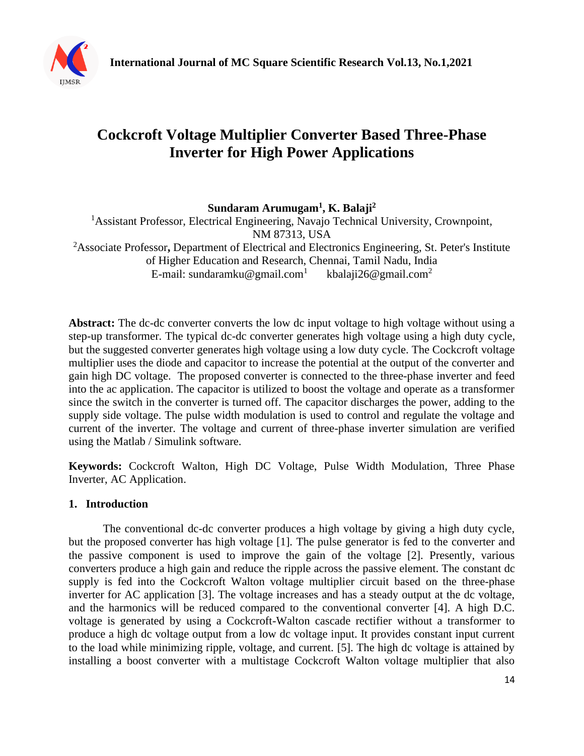

# **Cockcroft Voltage Multiplier Converter Based Three-Phase Inverter for High Power Applications**

**Sundaram Arumugam<sup>1</sup> , K. Balaji<sup>2</sup>**

<sup>1</sup>Assistant Professor, Electrical Engineering, Navajo Technical University, Crownpoint, NM 87313, USA <sup>2</sup>Associate Professor**,** Department of Electrical and Electronics Engineering, St. Peter's Institute of Higher Education and Research, Chennai, Tamil Nadu, India E-mail: sundaramku@gmail.com<sup>1</sup> kbalaji26@gmail.com<sup>2</sup>

**Abstract:** The dc-dc converter converts the low dc input voltage to high voltage without using a step-up transformer. The typical dc-dc converter generates high voltage using a high duty cycle, but the suggested converter generates high voltage using a low duty cycle. The Cockcroft voltage multiplier uses the diode and capacitor to increase the potential at the output of the converter and gain high DC voltage. The proposed converter is connected to the three-phase inverter and feed into the ac application. The capacitor is utilized to boost the voltage and operate as a transformer since the switch in the converter is turned off. The capacitor discharges the power, adding to the supply side voltage. The pulse width modulation is used to control and regulate the voltage and current of the inverter. The voltage and current of three-phase inverter simulation are verified using the Matlab / Simulink software.

**Keywords:** Cockcroft Walton, High DC Voltage, Pulse Width Modulation, Three Phase Inverter, AC Application.

## **1. Introduction**

The conventional dc-dc converter produces a high voltage by giving a high duty cycle, but the proposed converter has high voltage [1]. The pulse generator is fed to the converter and the passive component is used to improve the gain of the voltage [2]. Presently, various converters produce a high gain and reduce the ripple across the passive element. The constant dc supply is fed into the Cockcroft Walton voltage multiplier circuit based on the three-phase inverter for AC application [3]. The voltage increases and has a steady output at the dc voltage, and the harmonics will be reduced compared to the conventional converter [4]. A high D.C. voltage is generated by using a Cockcroft-Walton cascade rectifier without a transformer to produce a high dc voltage output from a low dc voltage input. It provides constant input current to the load while minimizing ripple, voltage, and current. [5]. The high dc voltage is attained by installing a boost converter with a multistage Cockcroft Walton voltage multiplier that also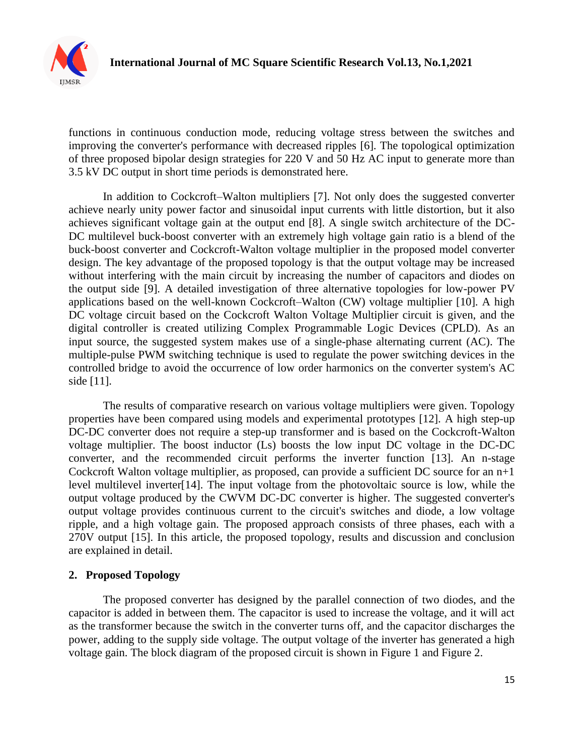

functions in continuous conduction mode, reducing voltage stress between the switches and improving the converter's performance with decreased ripples [6]. The topological optimization of three proposed bipolar design strategies for 220 V and 50 Hz AC input to generate more than 3.5 kV DC output in short time periods is demonstrated here.

In addition to Cockcroft–Walton multipliers [7]. Not only does the suggested converter achieve nearly unity power factor and sinusoidal input currents with little distortion, but it also achieves significant voltage gain at the output end [8]. A single switch architecture of the DC-DC multilevel buck-boost converter with an extremely high voltage gain ratio is a blend of the buck-boost converter and Cockcroft-Walton voltage multiplier in the proposed model converter design. The key advantage of the proposed topology is that the output voltage may be increased without interfering with the main circuit by increasing the number of capacitors and diodes on the output side [9]. A detailed investigation of three alternative topologies for low-power PV applications based on the well-known Cockcroft–Walton (CW) voltage multiplier [10]. A high DC voltage circuit based on the Cockcroft Walton Voltage Multiplier circuit is given, and the digital controller is created utilizing Complex Programmable Logic Devices (CPLD). As an input source, the suggested system makes use of a single-phase alternating current (AC). The multiple-pulse PWM switching technique is used to regulate the power switching devices in the controlled bridge to avoid the occurrence of low order harmonics on the converter system's AC side [11].

The results of comparative research on various voltage multipliers were given. Topology properties have been compared using models and experimental prototypes [12]. A high step-up DC-DC converter does not require a step-up transformer and is based on the Cockcroft-Walton voltage multiplier. The boost inductor (Ls) boosts the low input DC voltage in the DC-DC converter, and the recommended circuit performs the inverter function [13]. An n-stage Cockcroft Walton voltage multiplier, as proposed, can provide a sufficient DC source for an  $n+1$ level multilevel inverter[14]. The input voltage from the photovoltaic source is low, while the output voltage produced by the CWVM DC-DC converter is higher. The suggested converter's output voltage provides continuous current to the circuit's switches and diode, a low voltage ripple, and a high voltage gain. The proposed approach consists of three phases, each with a 270V output [15]. In this article, the proposed topology, results and discussion and conclusion are explained in detail.

### **2. Proposed Topology**

The proposed converter has designed by the parallel connection of two diodes, and the capacitor is added in between them. The capacitor is used to increase the voltage, and it will act as the transformer because the switch in the converter turns off, and the capacitor discharges the power, adding to the supply side voltage. The output voltage of the inverter has generated a high voltage gain. The block diagram of the proposed circuit is shown in Figure 1 and Figure 2.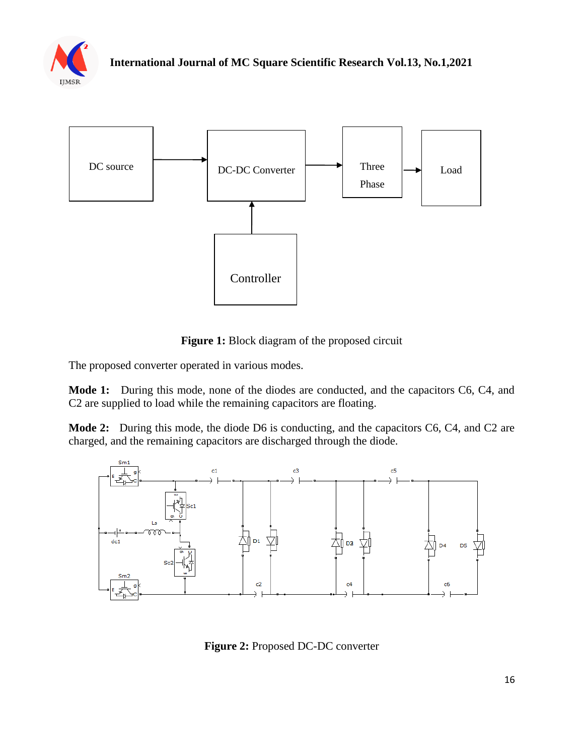



Figure 1: Block diagram of the proposed circuit

The proposed converter operated in various modes.

**Mode 1:** During this mode, none of the diodes are conducted, and the capacitors C6, C4, and C2 are supplied to load while the remaining capacitors are floating.

**Mode 2:** During this mode, the diode D6 is conducting, and the capacitors C6, C4, and C2 are charged, and the remaining capacitors are discharged through the diode.



**Figure 2:** Proposed DC-DC converter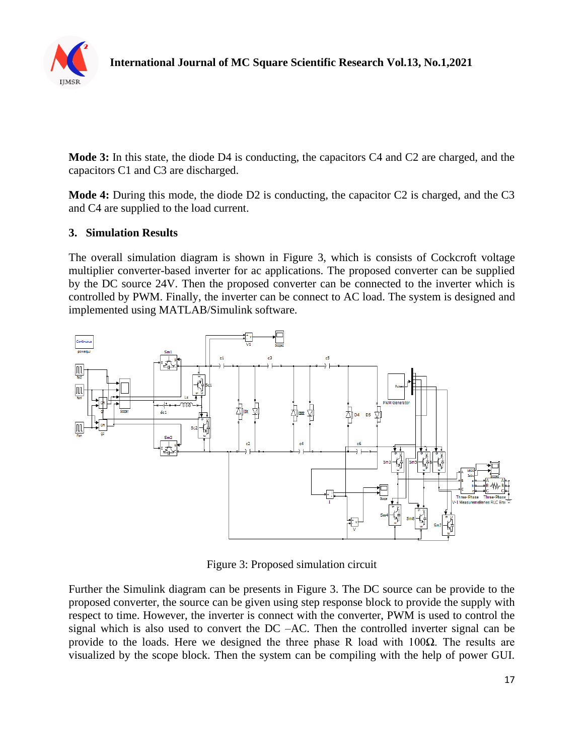

**Mode 3:** In this state, the diode D4 is conducting, the capacitors C4 and C2 are charged, and the capacitors C1 and C3 are discharged.

**Mode 4:** During this mode, the diode D2 is conducting, the capacitor C2 is charged, and the C3 and C4 are supplied to the load current.

#### **3. Simulation Results**

The overall simulation diagram is shown in Figure 3, which is consists of Cockcroft voltage multiplier converter-based inverter for ac applications. The proposed converter can be supplied by the DC source 24V. Then the proposed converter can be connected to the inverter which is controlled by PWM. Finally, the inverter can be connect to AC load. The system is designed and implemented using MATLAB/Simulink software.



Figure 3: Proposed simulation circuit

Further the Simulink diagram can be presents in Figure 3. The DC source can be provide to the proposed converter, the source can be given using step response block to provide the supply with respect to time. However, the inverter is connect with the converter, PWM is used to control the signal which is also used to convert the DC –AC. Then the controlled inverter signal can be provide to the loads. Here we designed the three phase R load with  $100\Omega$ . The results are visualized by the scope block. Then the system can be compiling with the help of power GUI.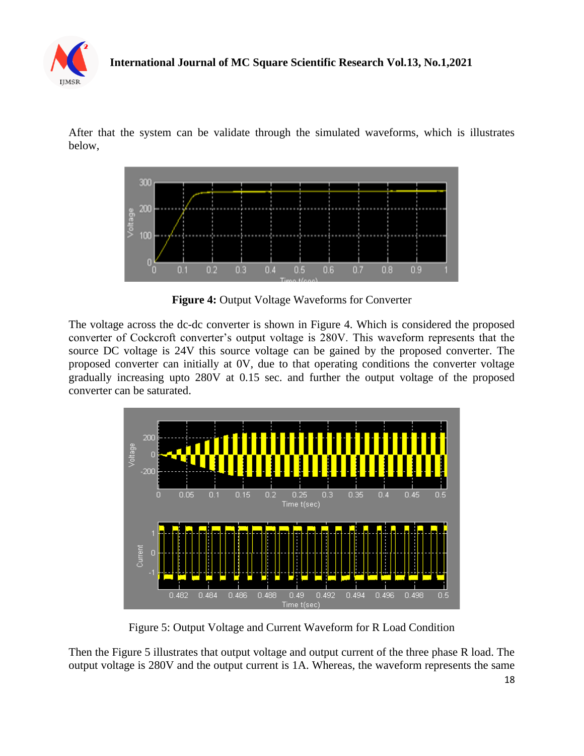

After that the system can be validate through the simulated waveforms, which is illustrates below,



**Figure 4:** Output Voltage Waveforms for Converter

The voltage across the dc-dc converter is shown in Figure 4. Which is considered the proposed converter of Cockcroft converter's output voltage is 280V. This waveform represents that the source DC voltage is 24V this source voltage can be gained by the proposed converter. The proposed converter can initially at 0V, due to that operating conditions the converter voltage gradually increasing upto 280V at 0.15 sec. and further the output voltage of the proposed converter can be saturated.



Figure 5: Output Voltage and Current Waveform for R Load Condition

Then the Figure 5 illustrates that output voltage and output current of the three phase R load. The output voltage is 280V and the output current is 1A. Whereas, the waveform represents the same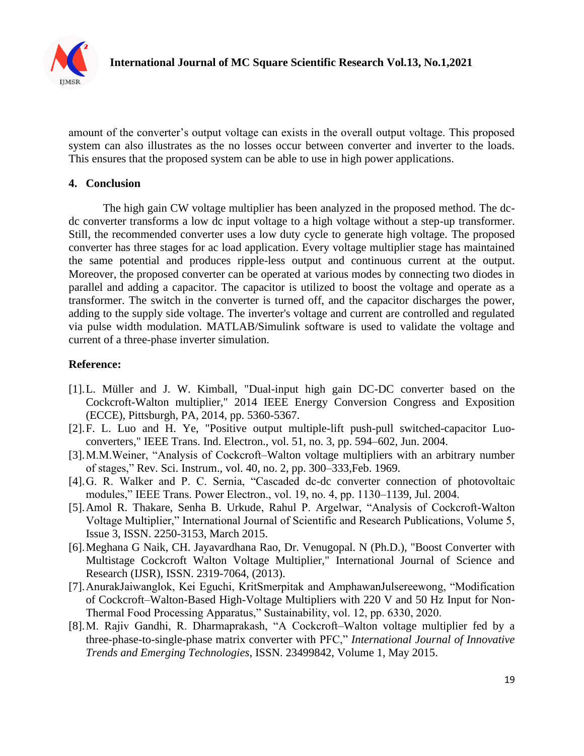

amount of the converter's output voltage can exists in the overall output voltage. This proposed system can also illustrates as the no losses occur between converter and inverter to the loads. This ensures that the proposed system can be able to use in high power applications.

## **4. Conclusion**

The high gain CW voltage multiplier has been analyzed in the proposed method. The dcdc converter transforms a low dc input voltage to a high voltage without a step-up transformer. Still, the recommended converter uses a low duty cycle to generate high voltage. The proposed converter has three stages for ac load application. Every voltage multiplier stage has maintained the same potential and produces ripple-less output and continuous current at the output. Moreover, the proposed converter can be operated at various modes by connecting two diodes in parallel and adding a capacitor. The capacitor is utilized to boost the voltage and operate as a transformer. The switch in the converter is turned off, and the capacitor discharges the power, adding to the supply side voltage. The inverter's voltage and current are controlled and regulated via pulse width modulation. MATLAB/Simulink software is used to validate the voltage and current of a three-phase inverter simulation.

## **Reference:**

- [1].L. Müller and J. W. Kimball, "Dual-input high gain DC-DC converter based on the Cockcroft-Walton multiplier," 2014 IEEE Energy Conversion Congress and Exposition (ECCE), Pittsburgh, PA, 2014, pp. 5360-5367.
- [2].F. L. Luo and H. Ye, "Positive output multiple-lift push-pull switched-capacitor Luoconverters," IEEE Trans. Ind. Electron., vol. 51, no. 3, pp. 594–602, Jun. 2004.
- [3].M.M.Weiner, "Analysis of Cockcroft–Walton voltage multipliers with an arbitrary number of stages," Rev. Sci. Instrum., vol. 40, no. 2, pp. 300–333,Feb. 1969.
- [4].G. R. Walker and P. C. Sernia, "Cascaded dc-dc converter connection of photovoltaic modules," IEEE Trans. Power Electron., vol. 19, no. 4, pp. 1130–1139, Jul. 2004.
- [5].Amol R. Thakare, Senha B. Urkude, Rahul P. Argelwar, "Analysis of Cockcroft-Walton Voltage Multiplier," International Journal of Scientific and Research Publications, Volume 5, Issue 3, ISSN. 2250-3153, March 2015.
- [6].Meghana G Naik, CH. Jayavardhana Rao, Dr. Venugopal. N (Ph.D.), "Boost Converter with Multistage Cockcroft Walton Voltage Multiplier," International Journal of Science and Research (IJSR), ISSN. 2319-7064, (2013).
- [7].AnurakJaiwanglok, Kei Eguchi, KritSmerpitak and AmphawanJulsereewong, "Modification of Cockcroft–Walton-Based High-Voltage Multipliers with 220 V and 50 Hz Input for Non-Thermal Food Processing Apparatus," Sustainability, vol. 12, pp. 6330, 2020.
- [8].M. Rajiv Gandhi, R. Dharmaprakash, "A Cockcroft–Walton voltage multiplier fed by a three-phase-to-single-phase matrix converter with PFC," *International Journal of Innovative Trends and Emerging Technologies*, ISSN. 23499842, Volume 1, May 2015.